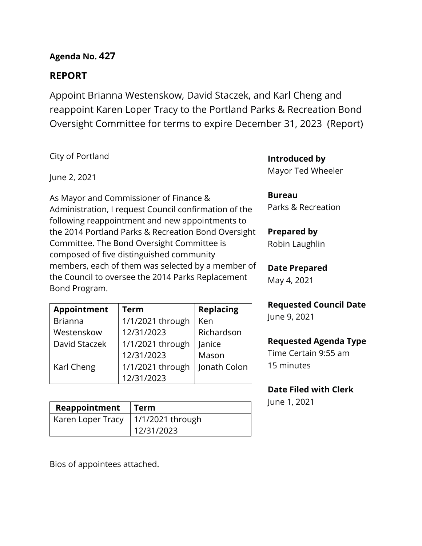## **Agenda No. 427**

## **REPORT**

Appoint Brianna Westenskow, David Staczek, and Karl Cheng and reappoint Karen Loper Tracy to the Portland Parks & Recreation Bond Oversight Committee for terms to expire December 31, 2023 (Report)

City of Portland

June 2, 2021

As Mayor and Commissioner of Finance & Administration, I request Council confirmation of the following reappointment and new appointments to the 2014 Portland Parks & Recreation Bond Oversight Committee. The Bond Oversight Committee is composed of five distinguished community members, each of them was selected by a member of the Council to oversee the 2014 Parks Replacement Bond Program.

| <b>Appointment</b> | <b>Term</b>      | <b>Replacing</b> |  |
|--------------------|------------------|------------------|--|
| <b>Brianna</b>     | 1/1/2021 through | Ken              |  |
| Westenskow         | 12/31/2023       | Richardson       |  |
| David Staczek      | 1/1/2021 through | Janice           |  |
|                    | 12/31/2023       | Mason            |  |
| Karl Cheng         | 1/1/2021 through | Jonath Colon     |  |
|                    | 12/31/2023       |                  |  |

| Reappointment                        | l Term     |  |  |
|--------------------------------------|------------|--|--|
| Karen Loper Tracy   1/1/2021 through |            |  |  |
|                                      | 12/31/2023 |  |  |

Bios of appointees attached.

**Introduced by**

Mayor Ted Wheeler

### **Bureau**

Parks & Recreation

### **Prepared by**

Robin Laughlin

### **Date Prepared** May 4, 2021

# **Requested Council Date**

June 9, 2021

### **Requested Agenda Type**

Time Certain 9:55 am 15 minutes

## **Date Filed with Clerk**

June 1, 2021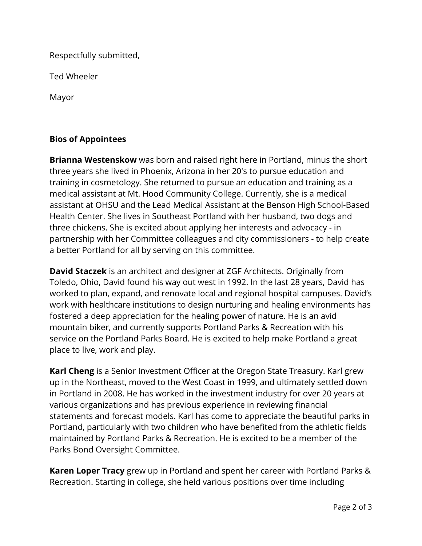Respectfully submitted,

Ted Wheeler

Mayor

### **Bios of Appointees**

**Brianna Westenskow** was born and raised right here in Portland, minus the short three years she lived in Phoenix, Arizona in her 20's to pursue education and training in cosmetology. She returned to pursue an education and training as a medical assistant at Mt. Hood Community College. Currently, she is a medical assistant at OHSU and the Lead Medical Assistant at the Benson High School-Based Health Center. She lives in Southeast Portland with her husband, two dogs and three chickens. She is excited about applying her interests and advocacy - in partnership with her Committee colleagues and city commissioners - to help create a better Portland for all by serving on this committee.

**David Staczek** is an architect and designer at ZGF Architects. Originally from Toledo, Ohio, David found his way out west in 1992. In the last 28 years, David has worked to plan, expand, and renovate local and regional hospital campuses. David's work with healthcare institutions to design nurturing and healing environments has fostered a deep appreciation for the healing power of nature. He is an avid mountain biker, and currently supports Portland Parks & Recreation with his service on the Portland Parks Board. He is excited to help make Portland a great place to live, work and play.

**Karl Cheng** is a Senior Investment Officer at the Oregon State Treasury. Karl grew up in the Northeast, moved to the West Coast in 1999, and ultimately settled down in Portland in 2008. He has worked in the investment industry for over 20 years at various organizations and has previous experience in reviewing financial statements and forecast models. Karl has come to appreciate the beautiful parks in Portland, particularly with two children who have benefited from the athletic fields maintained by Portland Parks & Recreation. He is excited to be a member of the Parks Bond Oversight Committee.

**Karen Loper Tracy** grew up in Portland and spent her career with Portland Parks & Recreation. Starting in college, she held various positions over time including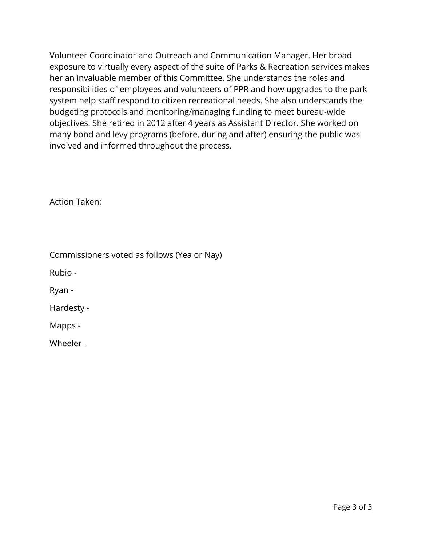Volunteer Coordinator and Outreach and Communication Manager. Her broad exposure to virtually every aspect of the suite of Parks & Recreation services makes her an invaluable member of this Committee. She understands the roles and responsibilities of employees and volunteers of PPR and how upgrades to the park system help staff respond to citizen recreational needs. She also understands the budgeting protocols and monitoring/managing funding to meet bureau-wide objectives. She retired in 2012 after 4 years as Assistant Director. She worked on many bond and levy programs (before, during and after) ensuring the public was involved and informed throughout the process.

Action Taken:

Commissioners voted as follows (Yea or Nay)

Rubio -

Ryan -

Hardesty -

Mapps -

Wheeler -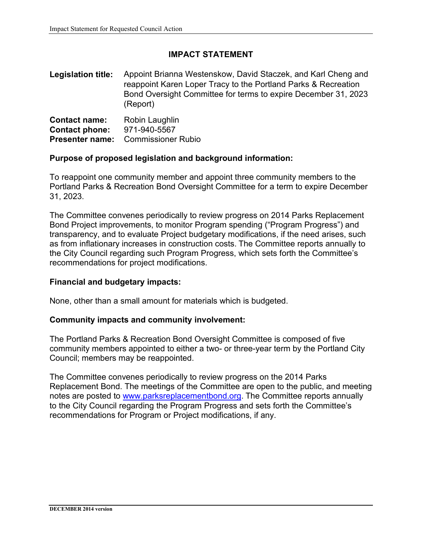#### **IMPACT STATEMENT**

**Legislation title:** Appoint Brianna Westenskow, David Staczek, and Karl Cheng and reappoint Karen Loper Tracy to the Portland Parks & Recreation Bond Oversight Committee for terms to expire December 31, 2023 (Report)

| <b>Contact name:</b>  | Robin Laughlin                            |
|-----------------------|-------------------------------------------|
| <b>Contact phone:</b> | 971-940-5567                              |
|                       | <b>Presenter name:</b> Commissioner Rubio |

#### **Purpose of proposed legislation and background information:**

To reappoint one community member and appoint three community members to the Portland Parks & Recreation Bond Oversight Committee for a term to expire December 31, 2023.

The Committee convenes periodically to review progress on 2014 Parks Replacement Bond Project improvements, to monitor Program spending ("Program Progress") and transparency, and to evaluate Project budgetary modifications, if the need arises, such as from inflationary increases in construction costs. The Committee reports annually to the City Council regarding such Program Progress, which sets forth the Committee's recommendations for project modifications.

#### **Financial and budgetary impacts:**

None, other than a small amount for materials which is budgeted.

#### **Community impacts and community involvement:**

The Portland Parks & Recreation Bond Oversight Committee is composed of five community members appointed to either a two- or three-year term by the Portland City Council; members may be reappointed.

The Committee convenes periodically to review progress on the 2014 Parks Replacement Bond. The meetings of the Committee are open to the public, and meeting notes are posted to [www.parksreplacementbond.org.](http://www.parksreplacementbond.org/) The Committee reports annually to the City Council regarding the Program Progress and sets forth the Committee's recommendations for Program or Project modifications, if any.